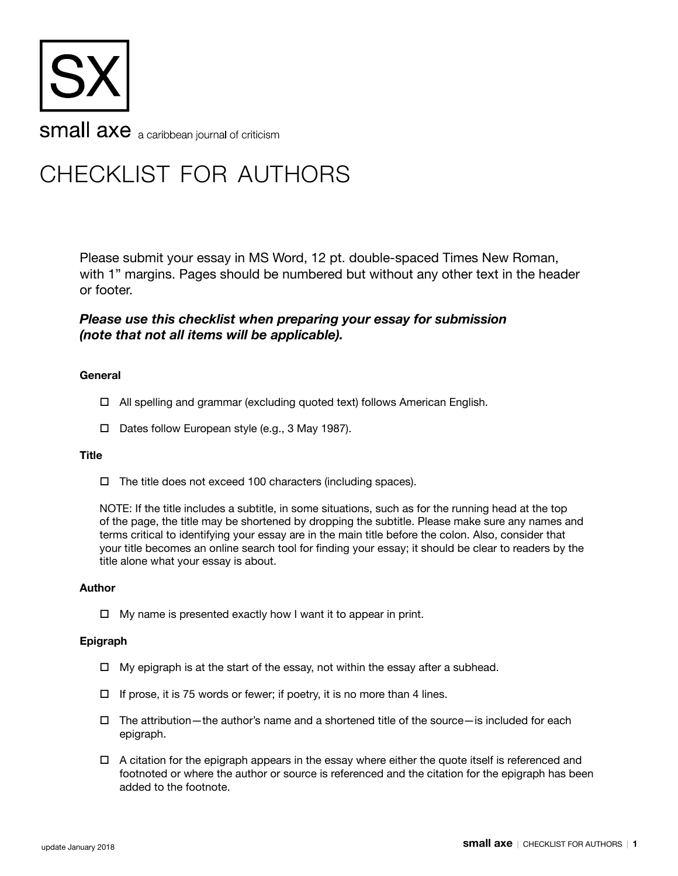

# checklist for authors

Please submit your essay in MS Word, 12 pt. double-spaced Times New Roman, with 1" margins. Pages should be numbered but without any other text in the header or footer.

## *Please use this checklist when preparing your essay for submission (note that not all items will be applicable).*

## **General**

- $\Box$  All spelling and grammar (excluding quoted text) follows American English.
- $\Box$  Dates follow European style (e.g., 3 May 1987).

## **Title**

 $\Box$  The title does not exceed 100 characters (including spaces).

NOTE: If the title includes a subtitle, in some situations, such as for the running head at the top of the page, the title may be shortened by dropping the subtitle. Please make sure any names and terms critical to identifying your essay are in the main title before the colon. Also, consider that your title becomes an online search tool for finding your essay; it should be clear to readers by the title alone what your essay is about.

## **Author**

 $\Box$  My name is presented exactly how I want it to appear in print.

## **Epigraph**

- $\Box$  My epigraph is at the start of the essay, not within the essay after a subhead.
- $\Box$  If prose, it is 75 words or fewer; if poetry, it is no more than 4 lines.
- $\Box$  The attribution—the author's name and a shortened title of the source—is included for each epigraph.
- $\Box$  A citation for the epigraph appears in the essay where either the quote itself is referenced and footnoted or where the author or source is referenced and the citation for the epigraph has been added to the footnote.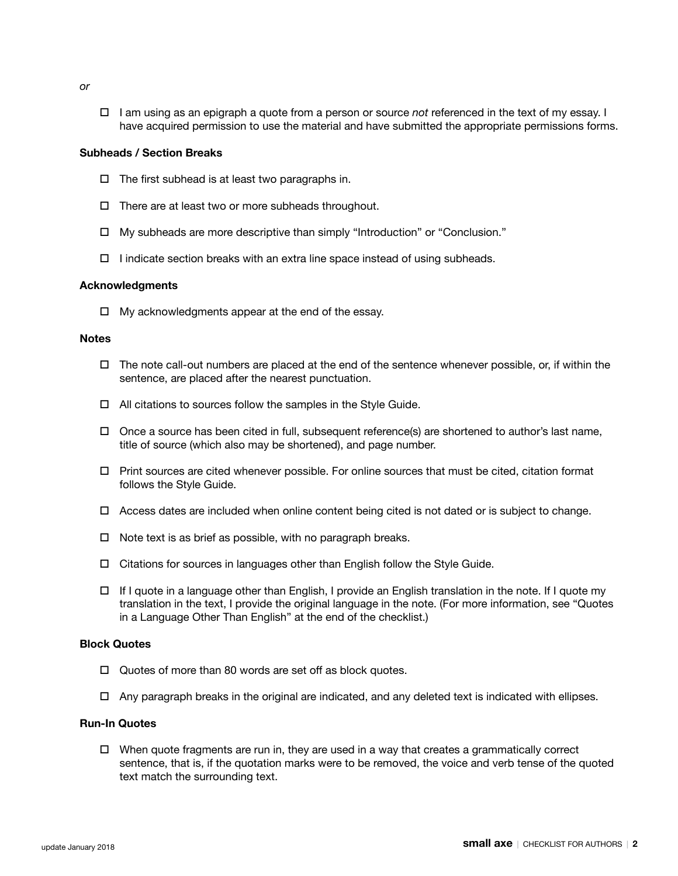- *or*
- $\Box$  I am using as an epigraph a quote from a person or source *not* referenced in the text of my essay. I have acquired permission to use the material and have submitted the appropriate permissions forms.

## **Subheads / Section Breaks**

- $\Box$  The first subhead is at least two paragraphs in.
- $\Box$  There are at least two or more subheads throughout.
- $\Box$  My subheads are more descriptive than simply "Introduction" or "Conclusion."
- $\Box$  I indicate section breaks with an extra line space instead of using subheads.

#### **Acknowledgments**

 $\Box$  My acknowledgments appear at the end of the essay.

#### **Notes**

- $\Box$  The note call-out numbers are placed at the end of the sentence whenever possible, or, if within the sentence, are placed after the nearest punctuation.
- $\Box$  All citations to sources follow the samples in the Style Guide.
- $\Box$  Once a source has been cited in full, subsequent reference(s) are shortened to author's last name, title of source (which also may be shortened), and page number.
- $\Box$  Print sources are cited whenever possible. For online sources that must be cited, citation format follows the Style Guide.
- $\Box$  Access dates are included when online content being cited is not dated or is subject to change.
- $\Box$  Note text is as brief as possible, with no paragraph breaks.
- $\Box$  Citations for sources in languages other than English follow the Style Guide.
- $\Box$  If I quote in a language other than English, I provide an English translation in the note. If I quote my translation in the text, I provide the original language in the note. (For more information, see "Quotes in a Language Other Than English" at the end of the checklist.)

#### **Block Quotes**

- $\Box$  Quotes of more than 80 words are set off as block quotes.
- $\Box$  Any paragraph breaks in the original are indicated, and any deleted text is indicated with ellipses.

## **Run-In Quotes**

 $\Box$  When quote fragments are run in, they are used in a way that creates a grammatically correct sentence, that is, if the quotation marks were to be removed, the voice and verb tense of the quoted text match the surrounding text.